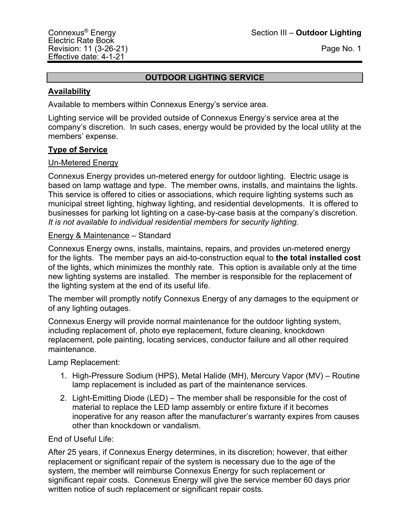## **OUTDOOR LIGHTING SERVICE**

## **Availability**

Available to members within Connexus Energy's service area.

Lighting service will be provided outside of Connexus Energy's service area at the company's discretion. In such cases, energy would be provided by the local utility at the members' expense.

## **Type of Service**

## Un-Metered Energy

Connexus Energy provides un-metered energy for outdoor lighting. Electric usage is based on lamp wattage and type. The member owns, installs, and maintains the lights. This service is offered to cities or associations, which require lighting systems such as municipal street lighting, highway lighting, and residential developments. It is offered to businesses for parking lot lighting on a case-by-case basis at the company's discretion. *It is not available to individual residential members for security lighting.*

## Energy & Maintenance – Standard

Connexus Energy owns, installs, maintains, repairs, and provides un-metered energy for the lights. The member pays an aid-to-construction equal to **the total installed cost** of the lights, which minimizes the monthly rate. This option is available only at the time new lighting systems are installed. The member is responsible for the replacement of the lighting system at the end of its useful life.

The member will promptly notify Connexus Energy of any damages to the equipment or of any lighting outages.

Connexus Energy will provide normal maintenance for the outdoor lighting system, including replacement of, photo eye replacement, fixture cleaning, knockdown replacement, pole painting, locating services, conductor failure and all other required maintenance.

Lamp Replacement:

- 1. High-Pressure Sodium (HPS), Metal Halide (MH), Mercury Vapor (MV) Routine lamp replacement is included as part of the maintenance services.
- 2. Light-Emitting Diode (LED) The member shall be responsible for the cost of material to replace the LED lamp assembly or entire fixture if it becomes inoperative for any reason after the manufacturer's warranty expires from causes other than knockdown or vandalism.

## End of Useful Life:

After 25 years, if Connexus Energy determines, in its discretion; however, that either replacement or significant repair of the system is necessary due to the age of the system, the member will reimburse Connexus Energy for such replacement or significant repair costs. Connexus Energy will give the service member 60 days prior written notice of such replacement or significant repair costs.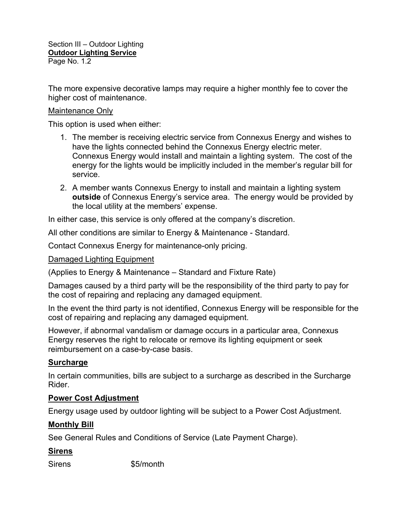The more expensive decorative lamps may require a higher monthly fee to cover the higher cost of maintenance.

## Maintenance Only

This option is used when either:

- 1. The member is receiving electric service from Connexus Energy and wishes to have the lights connected behind the Connexus Energy electric meter. Connexus Energy would install and maintain a lighting system. The cost of the energy for the lights would be implicitly included in the member's regular bill for service.
- 2. A member wants Connexus Energy to install and maintain a lighting system **outside** of Connexus Energy's service area. The energy would be provided by the local utility at the members' expense.

In either case, this service is only offered at the company's discretion.

All other conditions are similar to Energy & Maintenance - Standard.

Contact Connexus Energy for maintenance-only pricing.

Damaged Lighting Equipment

(Applies to Energy & Maintenance – Standard and Fixture Rate)

Damages caused by a third party will be the responsibility of the third party to pay for the cost of repairing and replacing any damaged equipment.

In the event the third party is not identified, Connexus Energy will be responsible for the cost of repairing and replacing any damaged equipment.

However, if abnormal vandalism or damage occurs in a particular area, Connexus Energy reserves the right to relocate or remove its lighting equipment or seek reimbursement on a case-by-case basis.

## **Surcharge**

In certain communities, bills are subject to a surcharge as described in the Surcharge Rider.

#### **Power Cost Adjustment**

Energy usage used by outdoor lighting will be subject to a Power Cost Adjustment.

## **Monthly Bill**

See General Rules and Conditions of Service (Late Payment Charge).

## **Sirens**

Sirens \$5/month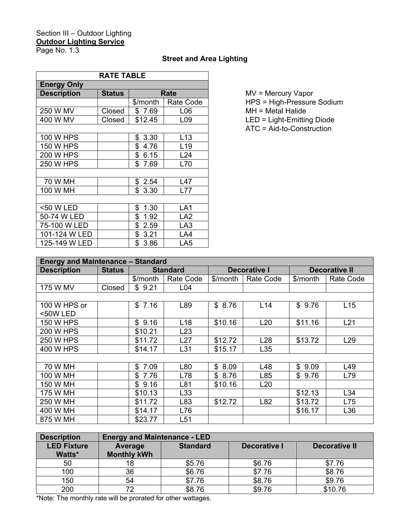## Section III – Outdoor Lighting **Outdoor Lighting Service**

Page No. 1.3

## **Street and Area Lighting**

| <b>RATE TABLE</b>  |               |            |                 |  |  |  |
|--------------------|---------------|------------|-----------------|--|--|--|
| <b>Energy Only</b> |               |            |                 |  |  |  |
| <b>Description</b> | <b>Status</b> | Rate       |                 |  |  |  |
|                    |               | \$/month   | Rate Code       |  |  |  |
| 250 W MV           | Closed        | \$7.69     | L06             |  |  |  |
| 400 W MV           | Closed        | \$12.45    | L <sub>09</sub> |  |  |  |
|                    |               |            |                 |  |  |  |
| 100 W HPS          |               | \$3.30     | L <sub>13</sub> |  |  |  |
| <b>150 W HPS</b>   |               | \$4.76     | L <sub>19</sub> |  |  |  |
| 200 W HPS          |               | \$6.15     | L24             |  |  |  |
| <b>250 W HPS</b>   |               | \$7.69     | L70             |  |  |  |
|                    |               |            |                 |  |  |  |
| 70 W MH            |               | \$<br>2.54 | L47             |  |  |  |
| 100 W MH           |               | \$<br>3.30 | L77             |  |  |  |
|                    |               |            |                 |  |  |  |
| <50 W LED          |               | \$1.30     | LA1             |  |  |  |
| 50-74 W LED        |               | \$1.92     | LA2             |  |  |  |
| 75-100 W LED       |               | \$2.59     | LA3             |  |  |  |
| 101-124 W LED      |               | \$3.21     | LA4             |  |  |  |
| 125-149 W LED      |               | \$<br>3.86 | LA <sub>5</sub> |  |  |  |

**MV = Mercury Vapor** 

HPS = High-Pressure Sodium

 $MH = Metal$  Halide

LED = Light-Emitting Diode

ATC = Aid-to-Construction

| <b>Energy and Maintenance - Standard</b> |               |                 |                 |                     |                  |                      |                 |
|------------------------------------------|---------------|-----------------|-----------------|---------------------|------------------|----------------------|-----------------|
| <b>Description</b>                       | <b>Status</b> | <b>Standard</b> |                 | <b>Decorative I</b> |                  | <b>Decorative II</b> |                 |
|                                          |               | \$/month        | Rate Code       | \$/month            | <b>Rate Code</b> | \$/month             | Rate Code       |
| 175 W MV                                 | Closed        | \$9.21          | L <sub>04</sub> |                     |                  |                      |                 |
|                                          |               |                 |                 |                     |                  |                      |                 |
| 100 W HPS or                             |               | \$7.16          | L89             | \$8.76              | L14              | \$9.76               | L15             |
| <50W LED                                 |               |                 |                 |                     |                  |                      |                 |
| <b>150 W HPS</b>                         |               | \$9.16          | L <sub>18</sub> | \$10.16             | L20              | \$11.16              | L21             |
| <b>200 W HPS</b>                         |               | \$10.21         | L23             |                     |                  |                      |                 |
| <b>250 W HPS</b>                         |               | \$11.72         | L27             | \$12.72             | L <sub>28</sub>  | \$13.72              | L <sub>29</sub> |
| 400 W HPS                                |               | \$14.17         | L31             | \$15.17             | L <sub>35</sub>  |                      |                 |
|                                          |               |                 |                 |                     |                  |                      |                 |
| 70 W MH                                  |               | \$7.09          | L80             | \$8.09              | L48              | \$9.09               | L49             |
| 100 W MH                                 |               | \$7.76          | L78             | \$8.76              | L85              | \$9.76               | L79             |
| 150 W MH                                 |               | \$9.16          | L81             | \$10.16             | L20              |                      |                 |
| 175 W MH                                 |               | \$10.13         | L33             |                     |                  | \$12.13              | L34             |
| 250 W MH                                 |               | \$11.72         | L83             | \$12.72             | L82              | \$13.72              | L75             |
| 400 W MH                                 |               | \$14.17         | L76             |                     |                  | \$16.17              | L36             |
| 875 W MH                                 |               | \$23.77         | L51             |                     |                  |                      |                 |

| <b>Description</b> | <b>Energy and Maintenance - LED</b> |                 |              |               |  |  |
|--------------------|-------------------------------------|-----------------|--------------|---------------|--|--|
| <b>LED Fixture</b> | Average                             | <b>Standard</b> | Decorative I | Decorative II |  |  |
| Watts*             | <b>Monthly kWh</b>                  |                 |              |               |  |  |
| 50                 |                                     | \$5.76          | \$6.76       | \$7.76        |  |  |
| 100                | 36                                  | \$6.76          | \$7.76       | \$8.76        |  |  |
| 150                | 54                                  | \$7.76          | \$8.76       | \$9.76        |  |  |
| 200                |                                     | \$8.76          | \$9.76       | \$10.76       |  |  |

\*Note: The monthly rate will be prorated for other wattages.